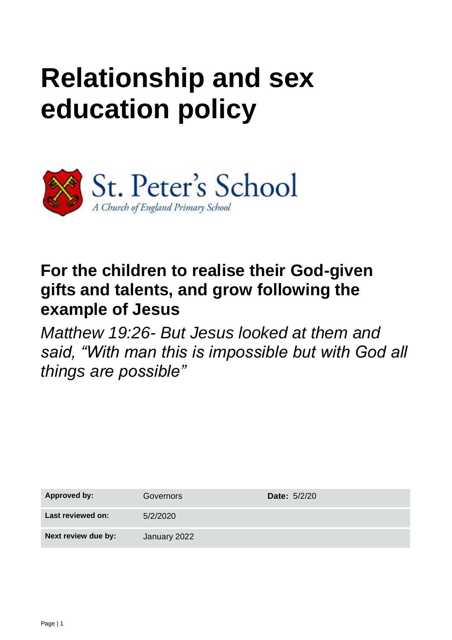# **Relationship and sex education policy**



# **For the children to realise their God-given gifts and talents, and grow following the example of Jesus**

*Matthew 19:26- But Jesus looked at them and said, "With man this is impossible but with God all things are possible"* 

| <b>Approved by:</b> | Governors    | <b>Date: 5/2/20</b> |
|---------------------|--------------|---------------------|
| Last reviewed on:   | 5/2/2020     |                     |
| Next review due by: | January 2022 |                     |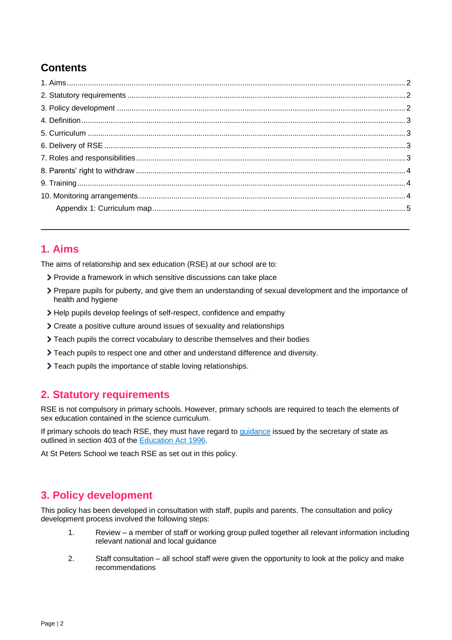### **Contents**

#### <span id="page-1-0"></span>**1. Aims**

The aims of relationship and sex education (RSE) at our school are to:

- Provide a framework in which sensitive discussions can take place
- Prepare pupils for puberty, and give them an understanding of sexual development and the importance of health and hygiene
- Help pupils develop feelings of self-respect, confidence and empathy
- Create a positive culture around issues of sexuality and relationships
- Teach pupils the correct vocabulary to describe themselves and their bodies
- Teach pupils to respect one and other and understand difference and diversity.
- Teach pupils the importance of stable loving relationships.

#### <span id="page-1-1"></span>**2. Statutory requirements**

RSE is not compulsory in primary schools. However, primary schools are required to teach the elements of sex education contained in the science curriculum.

If primary schools do teach RSE, they must have regard to [guidance](https://www.gov.uk/government/publications/sex-and-relationship-education) issued by the secretary of state as outlined in section 403 of the [Education Act 1996.](http://www.legislation.gov.uk/ukpga/1996/56/contents)

At St Peters School we teach RSE as set out in this policy.

#### <span id="page-1-2"></span>**3. Policy development**

This policy has been developed in consultation with staff, pupils and parents. The consultation and policy development process involved the following steps:

- 1. Review a member of staff or working group pulled together all relevant information including relevant national and local guidance
- 2. Staff consultation all school staff were given the opportunity to look at the policy and make recommendations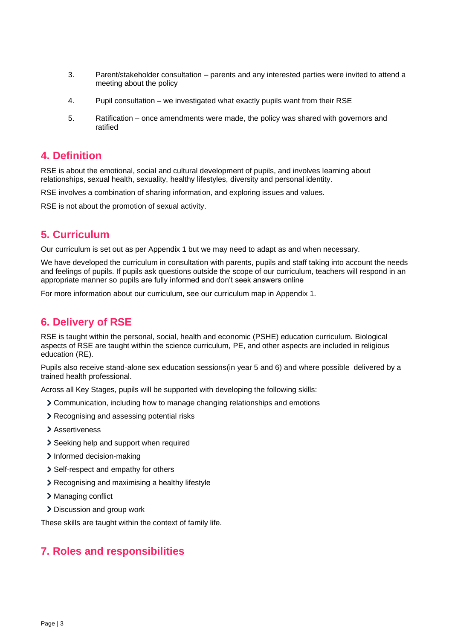- 3. Parent/stakeholder consultation parents and any interested parties were invited to attend a meeting about the policy
- 4. Pupil consultation we investigated what exactly pupils want from their RSE
- 5. Ratification once amendments were made, the policy was shared with governors and ratified

#### <span id="page-2-0"></span>**4. Definition**

RSE is about the emotional, social and cultural development of pupils, and involves learning about relationships, sexual health, sexuality, healthy lifestyles, diversity and personal identity.

RSE involves a combination of sharing information, and exploring issues and values.

RSE is not about the promotion of sexual activity.

#### <span id="page-2-1"></span>**5. Curriculum**

Our curriculum is set out as per Appendix 1 but we may need to adapt as and when necessary.

We have developed the curriculum in consultation with parents, pupils and staff taking into account the needs and feelings of pupils. If pupils ask questions outside the scope of our curriculum, teachers will respond in an appropriate manner so pupils are fully informed and don't seek answers online

For more information about our curriculum, see our curriculum map in Appendix 1.

#### <span id="page-2-2"></span>**6. Delivery of RSE**

RSE is taught within the personal, social, health and economic (PSHE) education curriculum. Biological aspects of RSE are taught within the science curriculum, PE, and other aspects are included in religious education (RE).

Pupils also receive stand-alone sex education sessions(in year 5 and 6) and where possible delivered by a trained health professional.

Across all Key Stages, pupils will be supported with developing the following skills:

- Communication, including how to manage changing relationships and emotions
- Recognising and assessing potential risks
- > Assertiveness
- > Seeking help and support when required
- > Informed decision-making
- Self-respect and empathy for others
- Recognising and maximising a healthy lifestyle
- > Managing conflict
- > Discussion and group work

These skills are taught within the context of family life.

#### <span id="page-2-3"></span>**7. Roles and responsibilities**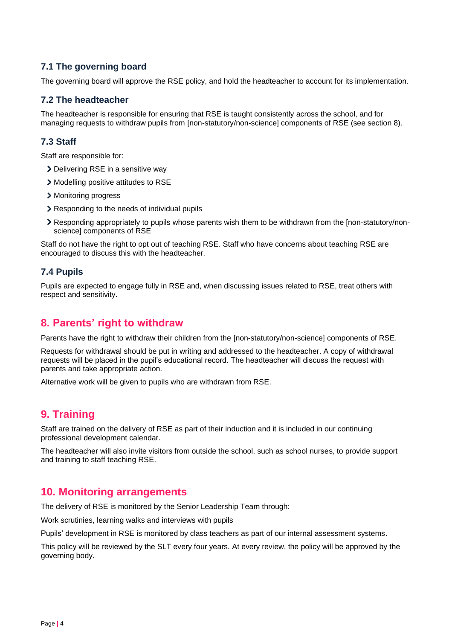#### **7.1 The governing board**

The governing board will approve the RSE policy, and hold the headteacher to account for its implementation.

#### **7.2 The headteacher**

The headteacher is responsible for ensuring that RSE is taught consistently across the school, and for managing requests to withdraw pupils from [non-statutory/non-science] components of RSE (see section 8).

#### **7.3 Staff**

Staff are responsible for:

- > Delivering RSE in a sensitive way
- Modelling positive attitudes to RSE
- > Monitoring progress
- > Responding to the needs of individual pupils
- Responding appropriately to pupils whose parents wish them to be withdrawn from the [non-statutory/nonscience] components of RSE

Staff do not have the right to opt out of teaching RSE. Staff who have concerns about teaching RSE are encouraged to discuss this with the headteacher.

#### **7.4 Pupils**

Pupils are expected to engage fully in RSE and, when discussing issues related to RSE, treat others with respect and sensitivity.

#### <span id="page-3-0"></span>**8. Parents' right to withdraw**

Parents have the right to withdraw their children from the [non-statutory/non-science] components of RSE.

Requests for withdrawal should be put in writing and addressed to the headteacher. A copy of withdrawal requests will be placed in the pupil's educational record. The headteacher will discuss the request with parents and take appropriate action.

Alternative work will be given to pupils who are withdrawn from RSE.

#### <span id="page-3-1"></span>**9. Training**

Staff are trained on the delivery of RSE as part of their induction and it is included in our continuing professional development calendar.

The headteacher will also invite visitors from outside the school, such as school nurses, to provide support and training to staff teaching RSE.

#### <span id="page-3-2"></span>**10. Monitoring arrangements**

The delivery of RSE is monitored by the Senior Leadership Team through:

Work scrutinies, learning walks and interviews with pupils

Pupils' development in RSE is monitored by class teachers as part of our internal assessment systems.

This policy will be reviewed by the SLT every four years. At every review, the policy will be approved by the governing body.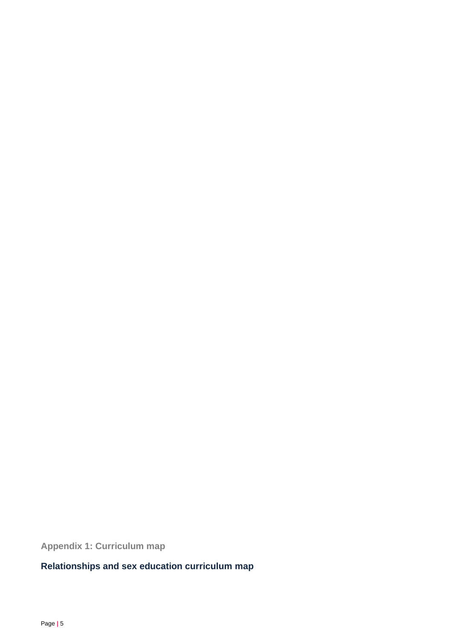<span id="page-4-0"></span>**Appendix 1: Curriculum map**

## **Relationships and sex education curriculum map**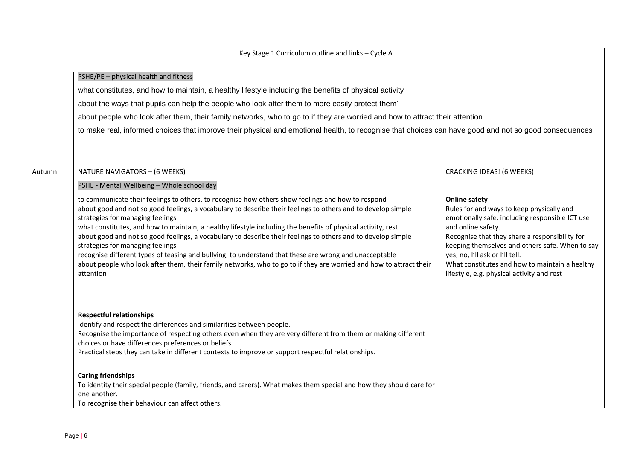|        | Key Stage 1 Curriculum outline and links - Cycle A                                                                                                                                                                                                                                                                                                                                                                                                                                                                                                                                                                                                                                                                                                                     |                                                                                                                                                                                                                                                                                                                                                                                    |
|--------|------------------------------------------------------------------------------------------------------------------------------------------------------------------------------------------------------------------------------------------------------------------------------------------------------------------------------------------------------------------------------------------------------------------------------------------------------------------------------------------------------------------------------------------------------------------------------------------------------------------------------------------------------------------------------------------------------------------------------------------------------------------------|------------------------------------------------------------------------------------------------------------------------------------------------------------------------------------------------------------------------------------------------------------------------------------------------------------------------------------------------------------------------------------|
|        | PSHE/PE - physical health and fitness                                                                                                                                                                                                                                                                                                                                                                                                                                                                                                                                                                                                                                                                                                                                  |                                                                                                                                                                                                                                                                                                                                                                                    |
|        | what constitutes, and how to maintain, a healthy lifestyle including the benefits of physical activity                                                                                                                                                                                                                                                                                                                                                                                                                                                                                                                                                                                                                                                                 |                                                                                                                                                                                                                                                                                                                                                                                    |
|        | about the ways that pupils can help the people who look after them to more easily protect them'                                                                                                                                                                                                                                                                                                                                                                                                                                                                                                                                                                                                                                                                        |                                                                                                                                                                                                                                                                                                                                                                                    |
|        | about people who look after them, their family networks, who to go to if they are worried and how to attract their attention                                                                                                                                                                                                                                                                                                                                                                                                                                                                                                                                                                                                                                           |                                                                                                                                                                                                                                                                                                                                                                                    |
|        | to make real, informed choices that improve their physical and emotional health, to recognise that choices can have good and not so good consequences                                                                                                                                                                                                                                                                                                                                                                                                                                                                                                                                                                                                                  |                                                                                                                                                                                                                                                                                                                                                                                    |
| Autumn | NATURE NAVIGATORS - (6 WEEKS)                                                                                                                                                                                                                                                                                                                                                                                                                                                                                                                                                                                                                                                                                                                                          | <b>CRACKING IDEAS! (6 WEEKS)</b>                                                                                                                                                                                                                                                                                                                                                   |
|        | PSHE - Mental Wellbeing - Whole school day                                                                                                                                                                                                                                                                                                                                                                                                                                                                                                                                                                                                                                                                                                                             |                                                                                                                                                                                                                                                                                                                                                                                    |
|        | to communicate their feelings to others, to recognise how others show feelings and how to respond<br>about good and not so good feelings, a vocabulary to describe their feelings to others and to develop simple<br>strategies for managing feelings<br>what constitutes, and how to maintain, a healthy lifestyle including the benefits of physical activity, rest<br>about good and not so good feelings, a vocabulary to describe their feelings to others and to develop simple<br>strategies for managing feelings<br>recognise different types of teasing and bullying, to understand that these are wrong and unacceptable<br>about people who look after them, their family networks, who to go to if they are worried and how to attract their<br>attention | <b>Online safety</b><br>Rules for and ways to keep physically and<br>emotionally safe, including responsible ICT use<br>and online safety.<br>Recognise that they share a responsibility for<br>keeping themselves and others safe. When to say<br>yes, no, I'll ask or I'll tell.<br>What constitutes and how to maintain a healthy<br>lifestyle, e.g. physical activity and rest |
|        | <b>Respectful relationships</b><br>Identify and respect the differences and similarities between people.<br>Recognise the importance of respecting others even when they are very different from them or making different<br>choices or have differences preferences or beliefs<br>Practical steps they can take in different contexts to improve or support respectful relationships.<br><b>Caring friendships</b><br>To identity their special people (family, friends, and carers). What makes them special and how they should care for                                                                                                                                                                                                                            |                                                                                                                                                                                                                                                                                                                                                                                    |
|        | one another.<br>To recognise their behaviour can affect others.                                                                                                                                                                                                                                                                                                                                                                                                                                                                                                                                                                                                                                                                                                        |                                                                                                                                                                                                                                                                                                                                                                                    |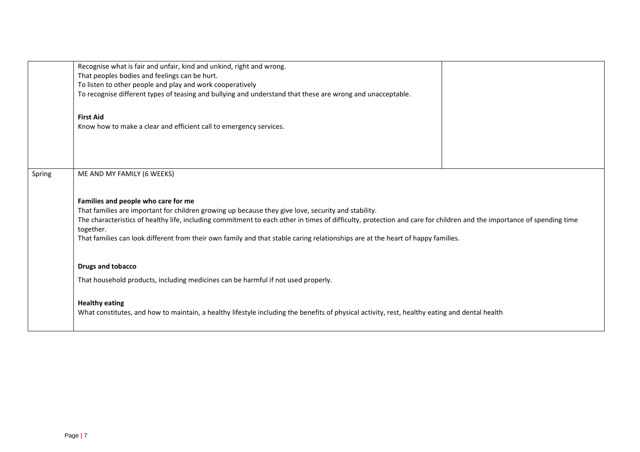|        | Recognise what is fair and unfair, kind and unkind, right and wrong.                                                                                                 |
|--------|----------------------------------------------------------------------------------------------------------------------------------------------------------------------|
|        | That peoples bodies and feelings can be hurt.                                                                                                                        |
|        | To listen to other people and play and work cooperatively                                                                                                            |
|        | To recognise different types of teasing and bullying and understand that these are wrong and unacceptable.                                                           |
|        |                                                                                                                                                                      |
|        | <b>First Aid</b>                                                                                                                                                     |
|        | Know how to make a clear and efficient call to emergency services.                                                                                                   |
|        |                                                                                                                                                                      |
|        |                                                                                                                                                                      |
|        |                                                                                                                                                                      |
|        |                                                                                                                                                                      |
| Spring | ME AND MY FAMILY (6 WEEKS)                                                                                                                                           |
|        |                                                                                                                                                                      |
|        |                                                                                                                                                                      |
|        | Families and people who care for me                                                                                                                                  |
|        | That families are important for children growing up because they give love, security and stability.                                                                  |
|        | The characteristics of healthy life, including commitment to each other in times of difficulty, protection and care for children and the importance of spending time |
|        | together.                                                                                                                                                            |
|        | That families can look different from their own family and that stable caring relationships are at the heart of happy families.                                      |
|        |                                                                                                                                                                      |
|        | <b>Drugs and tobacco</b>                                                                                                                                             |
|        |                                                                                                                                                                      |
|        | That household products, including medicines can be harmful if not used properly.                                                                                    |
|        |                                                                                                                                                                      |
|        | <b>Healthy eating</b>                                                                                                                                                |
|        | What constitutes, and how to maintain, a healthy lifestyle including the benefits of physical activity, rest, healthy eating and dental health                       |
|        |                                                                                                                                                                      |
|        |                                                                                                                                                                      |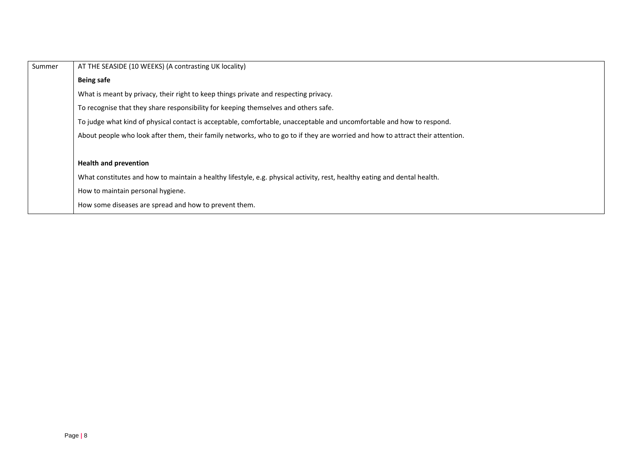| Summer | AT THE SEASIDE (10 WEEKS) (A contrasting UK locality)                                                                         |
|--------|-------------------------------------------------------------------------------------------------------------------------------|
|        | <b>Being safe</b>                                                                                                             |
|        | What is meant by privacy, their right to keep things private and respecting privacy.                                          |
|        | To recognise that they share responsibility for keeping themselves and others safe.                                           |
|        | To judge what kind of physical contact is acceptable, comfortable, unacceptable and uncomfortable and how to respond.         |
|        | About people who look after them, their family networks, who to go to if they are worried and how to attract their attention. |
|        |                                                                                                                               |
|        | <b>Health and prevention</b>                                                                                                  |
|        | What constitutes and how to maintain a healthy lifestyle, e.g. physical activity, rest, healthy eating and dental health.     |
|        | How to maintain personal hygiene.                                                                                             |
|        | How some diseases are spread and how to prevent them.                                                                         |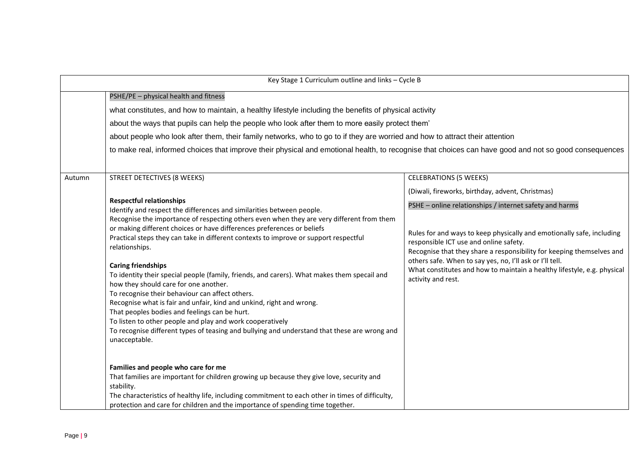| Key Stage 1 Curriculum outline and links - Cycle B |                                                                                                                                                                                                                                                                                                                                                                                                                                                                                                                                                                                                                                                                                                                                                                                                                                                                                                                                                                                                                                                                                                                                                                                                                                                                                               |                                                                                                                                                                                                                                                                                                                                                                                                                                                                                                       |
|----------------------------------------------------|-----------------------------------------------------------------------------------------------------------------------------------------------------------------------------------------------------------------------------------------------------------------------------------------------------------------------------------------------------------------------------------------------------------------------------------------------------------------------------------------------------------------------------------------------------------------------------------------------------------------------------------------------------------------------------------------------------------------------------------------------------------------------------------------------------------------------------------------------------------------------------------------------------------------------------------------------------------------------------------------------------------------------------------------------------------------------------------------------------------------------------------------------------------------------------------------------------------------------------------------------------------------------------------------------|-------------------------------------------------------------------------------------------------------------------------------------------------------------------------------------------------------------------------------------------------------------------------------------------------------------------------------------------------------------------------------------------------------------------------------------------------------------------------------------------------------|
|                                                    | PSHE/PE - physical health and fitness<br>what constitutes, and how to maintain, a healthy lifestyle including the benefits of physical activity<br>about the ways that pupils can help the people who look after them to more easily protect them'<br>about people who look after them, their family networks, who to go to if they are worried and how to attract their attention<br>to make real, informed choices that improve their physical and emotional health, to recognise that choices can have good and not so good consequences                                                                                                                                                                                                                                                                                                                                                                                                                                                                                                                                                                                                                                                                                                                                                   |                                                                                                                                                                                                                                                                                                                                                                                                                                                                                                       |
| Autumn                                             | STREET DETECTIVES (8 WEEKS)<br><b>Respectful relationships</b><br>Identify and respect the differences and similarities between people.<br>Recognise the importance of respecting others even when they are very different from them<br>or making different choices or have differences preferences or beliefs<br>Practical steps they can take in different contexts to improve or support respectful<br>relationships.<br><b>Caring friendships</b><br>To identity their special people (family, friends, and carers). What makes them specail and<br>how they should care for one another.<br>To recognise their behaviour can affect others.<br>Recognise what is fair and unfair, kind and unkind, right and wrong.<br>That peoples bodies and feelings can be hurt.<br>To listen to other people and play and work cooperatively<br>To recognise different types of teasing and bullying and understand that these are wrong and<br>unacceptable.<br>Families and people who care for me<br>That families are important for children growing up because they give love, security and<br>stability.<br>The characteristics of healthy life, including commitment to each other in times of difficulty,<br>protection and care for children and the importance of spending time together. | <b>CELEBRATIONS (5 WEEKS)</b><br>(Diwali, fireworks, birthday, advent, Christmas)<br>PSHE - online relationships / internet safety and harms<br>Rules for and ways to keep physically and emotionally safe, including<br>responsible ICT use and online safety.<br>Recognise that they share a responsibility for keeping themselves and<br>others safe. When to say yes, no, I'll ask or I'll tell.<br>What constitutes and how to maintain a healthy lifestyle, e.g. physical<br>activity and rest. |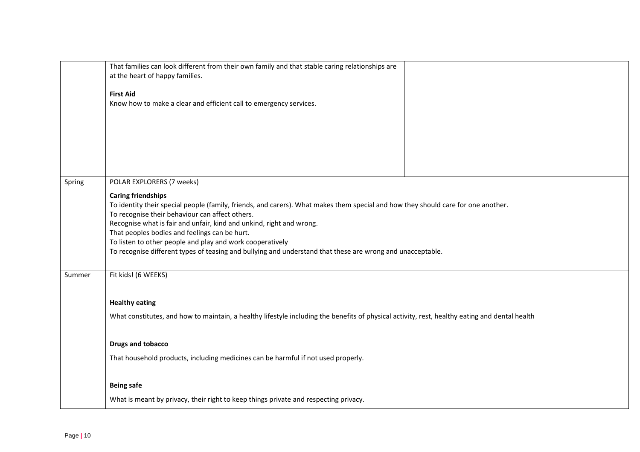|        | That families can look different from their own family and that stable caring relationships are<br>at the heart of happy families.                                      |
|--------|-------------------------------------------------------------------------------------------------------------------------------------------------------------------------|
|        |                                                                                                                                                                         |
|        | <b>First Aid</b>                                                                                                                                                        |
|        | Know how to make a clear and efficient call to emergency services.                                                                                                      |
|        |                                                                                                                                                                         |
|        |                                                                                                                                                                         |
|        |                                                                                                                                                                         |
|        |                                                                                                                                                                         |
|        |                                                                                                                                                                         |
| Spring | POLAR EXPLORERS (7 weeks)                                                                                                                                               |
|        | <b>Caring friendships</b>                                                                                                                                               |
|        | To identity their special people (family, friends, and carers). What makes them special and how they should care for one another.                                       |
|        | To recognise their behaviour can affect others.<br>Recognise what is fair and unfair, kind and unkind, right and wrong.                                                 |
|        | That peoples bodies and feelings can be hurt.                                                                                                                           |
|        | To listen to other people and play and work cooperatively<br>To recognise different types of teasing and bullying and understand that these are wrong and unacceptable. |
|        |                                                                                                                                                                         |
| Summer | Fit kids! (6 WEEKS)                                                                                                                                                     |
|        |                                                                                                                                                                         |
|        | <b>Healthy eating</b>                                                                                                                                                   |
|        | What constitutes, and how to maintain, a healthy lifestyle including the benefits of physical activity, rest, healthy eating and dental health                          |
|        |                                                                                                                                                                         |
|        | <b>Drugs and tobacco</b>                                                                                                                                                |
|        | That household products, including medicines can be harmful if not used properly.                                                                                       |
|        |                                                                                                                                                                         |
|        | <b>Being safe</b>                                                                                                                                                       |
|        | What is meant by privacy, their right to keep things private and respecting privacy.                                                                                    |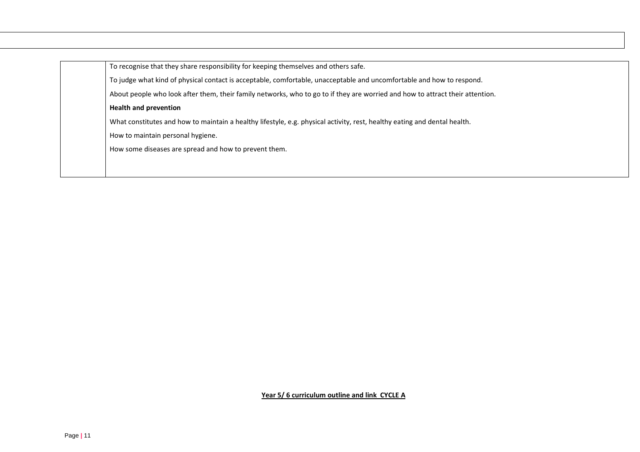| To recognise that they share responsibility for keeping themselves and others safe.                                           |
|-------------------------------------------------------------------------------------------------------------------------------|
| To judge what kind of physical contact is acceptable, comfortable, unacceptable and uncomfortable and how to respond.         |
| About people who look after them, their family networks, who to go to if they are worried and how to attract their attention. |
| <b>Health and prevention</b>                                                                                                  |
| What constitutes and how to maintain a healthy lifestyle, e.g. physical activity, rest, healthy eating and dental health.     |
| How to maintain personal hygiene.                                                                                             |
| How some diseases are spread and how to prevent them.                                                                         |
|                                                                                                                               |
|                                                                                                                               |

**Year 5/ 6 curriculum outline and link CYCLE A**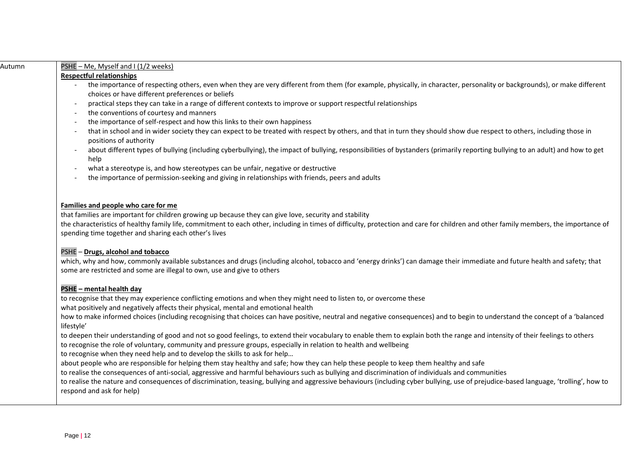| Autumn | PSHE - Me, Myself and I (1/2 weeks)                                                                                                                                                             |
|--------|-------------------------------------------------------------------------------------------------------------------------------------------------------------------------------------------------|
|        | <b>Respectful relationships</b>                                                                                                                                                                 |
|        | the importance of respecting others, even when they are very different from them (for example, physically, in character, personality or backgrounds), or make different                         |
|        | choices or have different preferences or beliefs                                                                                                                                                |
|        | practical steps they can take in a range of different contexts to improve or support respectful relationships                                                                                   |
|        | the conventions of courtesy and manners                                                                                                                                                         |
|        | the importance of self-respect and how this links to their own happiness                                                                                                                        |
|        | that in school and in wider society they can expect to be treated with respect by others, and that in turn they should show due respect to others, including those in<br>positions of authority |
|        | about different types of bullying (including cyberbullying), the impact of bullying, responsibilities of bystanders (primarily reporting bullying to an adult) and how to get<br>help           |
|        | what a stereotype is, and how stereotypes can be unfair, negative or destructive<br>$\sim$                                                                                                      |
|        | the importance of permission-seeking and giving in relationships with friends, peers and adults                                                                                                 |
|        |                                                                                                                                                                                                 |
|        |                                                                                                                                                                                                 |
|        | Families and people who care for me<br>that families are important for children growing up because they can give love, security and stability                                                   |
|        | the characteristics of healthy family life, commitment to each other, including in times of difficulty, protection and care for children and other family members, the importance of            |
|        | spending time together and sharing each other's lives                                                                                                                                           |
|        |                                                                                                                                                                                                 |
|        | PSHE - Drugs, alcohol and tobacco                                                                                                                                                               |
|        | which, why and how, commonly available substances and drugs (including alcohol, tobacco and 'energy drinks') can damage their immediate and future health and safety; that                      |
|        | some are restricted and some are illegal to own, use and give to others                                                                                                                         |
|        | PSHE - mental health day                                                                                                                                                                        |
|        | to recognise that they may experience conflicting emotions and when they might need to listen to, or overcome these                                                                             |
|        | what positively and negatively affects their physical, mental and emotional health                                                                                                              |
|        | how to make informed choices (including recognising that choices can have positive, neutral and negative consequences) and to begin to understand the concept of a 'balanced                    |
|        | lifestyle'                                                                                                                                                                                      |
|        | to deepen their understanding of good and not so good feelings, to extend their vocabulary to enable them to explain both the range and intensity of their feelings to others                   |
|        | to recognise the role of voluntary, community and pressure groups, especially in relation to health and wellbeing                                                                               |
|        | to recognise when they need help and to develop the skills to ask for help                                                                                                                      |
|        | about people who are responsible for helping them stay healthy and safe; how they can help these people to keep them healthy and safe                                                           |
|        | to realise the consequences of anti-social, aggressive and harmful behaviours such as bullying and discrimination of individuals and communities                                                |
|        | to realise the nature and consequences of discrimination, teasing, bullying and aggressive behaviours (including cyber bullying, use of prejudice-based language, 'trolling', how to            |
|        | respond and ask for help)                                                                                                                                                                       |
|        |                                                                                                                                                                                                 |
|        |                                                                                                                                                                                                 |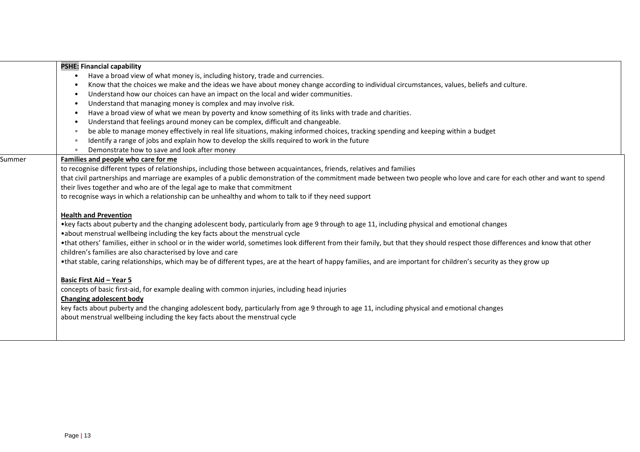| Have a broad view of what money is, including history, trade and currencies.<br>$\bullet$<br>Know that the choices we make and the ideas we have about money change according to individual circumstances, values, beliefs and culture.<br>Understand how our choices can have an impact on the local and wider communities.<br>Understand that managing money is complex and may involve risk.<br>Have a broad view of what we mean by poverty and know something of its links with trade and charities.<br>Understand that feelings around money can be complex, difficult and changeable.<br>be able to manage money effectively in real life situations, making informed choices, tracking spending and keeping within a budget<br>Identify a range of jobs and explain how to develop the skills required to work in the future<br>Demonstrate how to save and look after money<br>Families and people who care for me<br>to recognise different types of relationships, including those between acquaintances, friends, relatives and families<br>that civil partnerships and marriage are examples of a public demonstration of the commitment made between two people who love and care for each other and want to spend<br>their lives together and who are of the legal age to make that commitment<br>to recognise ways in which a relationship can be unhealthy and whom to talk to if they need support<br><b>Health and Prevention</b><br>• key facts about puberty and the changing adolescent body, particularly from age 9 through to age 11, including physical and emotional changes<br>• about menstrual wellbeing including the key facts about the menstrual cycle<br>•that others' families, either in school or in the wider world, sometimes look different from their family, but that they should respect those differences and know that other<br>children's families are also characterised by love and care<br>•that stable, caring relationships, which may be of different types, are at the heart of happy families, and are important for children's security as they grow up |  |
|-----------------------------------------------------------------------------------------------------------------------------------------------------------------------------------------------------------------------------------------------------------------------------------------------------------------------------------------------------------------------------------------------------------------------------------------------------------------------------------------------------------------------------------------------------------------------------------------------------------------------------------------------------------------------------------------------------------------------------------------------------------------------------------------------------------------------------------------------------------------------------------------------------------------------------------------------------------------------------------------------------------------------------------------------------------------------------------------------------------------------------------------------------------------------------------------------------------------------------------------------------------------------------------------------------------------------------------------------------------------------------------------------------------------------------------------------------------------------------------------------------------------------------------------------------------------------------------------------------------------------------------------------------------------------------------------------------------------------------------------------------------------------------------------------------------------------------------------------------------------------------------------------------------------------------------------------------------------------------------------------------------------------------------------------------------------------------------------------------------------|--|
|                                                                                                                                                                                                                                                                                                                                                                                                                                                                                                                                                                                                                                                                                                                                                                                                                                                                                                                                                                                                                                                                                                                                                                                                                                                                                                                                                                                                                                                                                                                                                                                                                                                                                                                                                                                                                                                                                                                                                                                                                                                                                                                 |  |
|                                                                                                                                                                                                                                                                                                                                                                                                                                                                                                                                                                                                                                                                                                                                                                                                                                                                                                                                                                                                                                                                                                                                                                                                                                                                                                                                                                                                                                                                                                                                                                                                                                                                                                                                                                                                                                                                                                                                                                                                                                                                                                                 |  |
| Summer                                                                                                                                                                                                                                                                                                                                                                                                                                                                                                                                                                                                                                                                                                                                                                                                                                                                                                                                                                                                                                                                                                                                                                                                                                                                                                                                                                                                                                                                                                                                                                                                                                                                                                                                                                                                                                                                                                                                                                                                                                                                                                          |  |
|                                                                                                                                                                                                                                                                                                                                                                                                                                                                                                                                                                                                                                                                                                                                                                                                                                                                                                                                                                                                                                                                                                                                                                                                                                                                                                                                                                                                                                                                                                                                                                                                                                                                                                                                                                                                                                                                                                                                                                                                                                                                                                                 |  |
|                                                                                                                                                                                                                                                                                                                                                                                                                                                                                                                                                                                                                                                                                                                                                                                                                                                                                                                                                                                                                                                                                                                                                                                                                                                                                                                                                                                                                                                                                                                                                                                                                                                                                                                                                                                                                                                                                                                                                                                                                                                                                                                 |  |
|                                                                                                                                                                                                                                                                                                                                                                                                                                                                                                                                                                                                                                                                                                                                                                                                                                                                                                                                                                                                                                                                                                                                                                                                                                                                                                                                                                                                                                                                                                                                                                                                                                                                                                                                                                                                                                                                                                                                                                                                                                                                                                                 |  |
|                                                                                                                                                                                                                                                                                                                                                                                                                                                                                                                                                                                                                                                                                                                                                                                                                                                                                                                                                                                                                                                                                                                                                                                                                                                                                                                                                                                                                                                                                                                                                                                                                                                                                                                                                                                                                                                                                                                                                                                                                                                                                                                 |  |
|                                                                                                                                                                                                                                                                                                                                                                                                                                                                                                                                                                                                                                                                                                                                                                                                                                                                                                                                                                                                                                                                                                                                                                                                                                                                                                                                                                                                                                                                                                                                                                                                                                                                                                                                                                                                                                                                                                                                                                                                                                                                                                                 |  |
|                                                                                                                                                                                                                                                                                                                                                                                                                                                                                                                                                                                                                                                                                                                                                                                                                                                                                                                                                                                                                                                                                                                                                                                                                                                                                                                                                                                                                                                                                                                                                                                                                                                                                                                                                                                                                                                                                                                                                                                                                                                                                                                 |  |
|                                                                                                                                                                                                                                                                                                                                                                                                                                                                                                                                                                                                                                                                                                                                                                                                                                                                                                                                                                                                                                                                                                                                                                                                                                                                                                                                                                                                                                                                                                                                                                                                                                                                                                                                                                                                                                                                                                                                                                                                                                                                                                                 |  |
|                                                                                                                                                                                                                                                                                                                                                                                                                                                                                                                                                                                                                                                                                                                                                                                                                                                                                                                                                                                                                                                                                                                                                                                                                                                                                                                                                                                                                                                                                                                                                                                                                                                                                                                                                                                                                                                                                                                                                                                                                                                                                                                 |  |
|                                                                                                                                                                                                                                                                                                                                                                                                                                                                                                                                                                                                                                                                                                                                                                                                                                                                                                                                                                                                                                                                                                                                                                                                                                                                                                                                                                                                                                                                                                                                                                                                                                                                                                                                                                                                                                                                                                                                                                                                                                                                                                                 |  |
|                                                                                                                                                                                                                                                                                                                                                                                                                                                                                                                                                                                                                                                                                                                                                                                                                                                                                                                                                                                                                                                                                                                                                                                                                                                                                                                                                                                                                                                                                                                                                                                                                                                                                                                                                                                                                                                                                                                                                                                                                                                                                                                 |  |
|                                                                                                                                                                                                                                                                                                                                                                                                                                                                                                                                                                                                                                                                                                                                                                                                                                                                                                                                                                                                                                                                                                                                                                                                                                                                                                                                                                                                                                                                                                                                                                                                                                                                                                                                                                                                                                                                                                                                                                                                                                                                                                                 |  |
|                                                                                                                                                                                                                                                                                                                                                                                                                                                                                                                                                                                                                                                                                                                                                                                                                                                                                                                                                                                                                                                                                                                                                                                                                                                                                                                                                                                                                                                                                                                                                                                                                                                                                                                                                                                                                                                                                                                                                                                                                                                                                                                 |  |
|                                                                                                                                                                                                                                                                                                                                                                                                                                                                                                                                                                                                                                                                                                                                                                                                                                                                                                                                                                                                                                                                                                                                                                                                                                                                                                                                                                                                                                                                                                                                                                                                                                                                                                                                                                                                                                                                                                                                                                                                                                                                                                                 |  |
|                                                                                                                                                                                                                                                                                                                                                                                                                                                                                                                                                                                                                                                                                                                                                                                                                                                                                                                                                                                                                                                                                                                                                                                                                                                                                                                                                                                                                                                                                                                                                                                                                                                                                                                                                                                                                                                                                                                                                                                                                                                                                                                 |  |
|                                                                                                                                                                                                                                                                                                                                                                                                                                                                                                                                                                                                                                                                                                                                                                                                                                                                                                                                                                                                                                                                                                                                                                                                                                                                                                                                                                                                                                                                                                                                                                                                                                                                                                                                                                                                                                                                                                                                                                                                                                                                                                                 |  |
|                                                                                                                                                                                                                                                                                                                                                                                                                                                                                                                                                                                                                                                                                                                                                                                                                                                                                                                                                                                                                                                                                                                                                                                                                                                                                                                                                                                                                                                                                                                                                                                                                                                                                                                                                                                                                                                                                                                                                                                                                                                                                                                 |  |
|                                                                                                                                                                                                                                                                                                                                                                                                                                                                                                                                                                                                                                                                                                                                                                                                                                                                                                                                                                                                                                                                                                                                                                                                                                                                                                                                                                                                                                                                                                                                                                                                                                                                                                                                                                                                                                                                                                                                                                                                                                                                                                                 |  |
| <b>Basic First Aid - Year 5</b>                                                                                                                                                                                                                                                                                                                                                                                                                                                                                                                                                                                                                                                                                                                                                                                                                                                                                                                                                                                                                                                                                                                                                                                                                                                                                                                                                                                                                                                                                                                                                                                                                                                                                                                                                                                                                                                                                                                                                                                                                                                                                 |  |
| concepts of basic first-aid, for example dealing with common injuries, including head injuries                                                                                                                                                                                                                                                                                                                                                                                                                                                                                                                                                                                                                                                                                                                                                                                                                                                                                                                                                                                                                                                                                                                                                                                                                                                                                                                                                                                                                                                                                                                                                                                                                                                                                                                                                                                                                                                                                                                                                                                                                  |  |
| <b>Changing adolescent body</b>                                                                                                                                                                                                                                                                                                                                                                                                                                                                                                                                                                                                                                                                                                                                                                                                                                                                                                                                                                                                                                                                                                                                                                                                                                                                                                                                                                                                                                                                                                                                                                                                                                                                                                                                                                                                                                                                                                                                                                                                                                                                                 |  |
| key facts about puberty and the changing adolescent body, particularly from age 9 through to age 11, including physical and emotional changes                                                                                                                                                                                                                                                                                                                                                                                                                                                                                                                                                                                                                                                                                                                                                                                                                                                                                                                                                                                                                                                                                                                                                                                                                                                                                                                                                                                                                                                                                                                                                                                                                                                                                                                                                                                                                                                                                                                                                                   |  |
| about menstrual wellbeing including the key facts about the menstrual cycle                                                                                                                                                                                                                                                                                                                                                                                                                                                                                                                                                                                                                                                                                                                                                                                                                                                                                                                                                                                                                                                                                                                                                                                                                                                                                                                                                                                                                                                                                                                                                                                                                                                                                                                                                                                                                                                                                                                                                                                                                                     |  |
|                                                                                                                                                                                                                                                                                                                                                                                                                                                                                                                                                                                                                                                                                                                                                                                                                                                                                                                                                                                                                                                                                                                                                                                                                                                                                                                                                                                                                                                                                                                                                                                                                                                                                                                                                                                                                                                                                                                                                                                                                                                                                                                 |  |
|                                                                                                                                                                                                                                                                                                                                                                                                                                                                                                                                                                                                                                                                                                                                                                                                                                                                                                                                                                                                                                                                                                                                                                                                                                                                                                                                                                                                                                                                                                                                                                                                                                                                                                                                                                                                                                                                                                                                                                                                                                                                                                                 |  |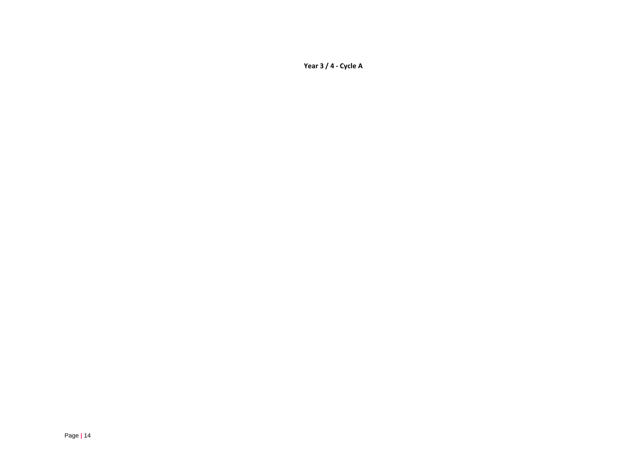**Year 3 / 4 - Cycle A**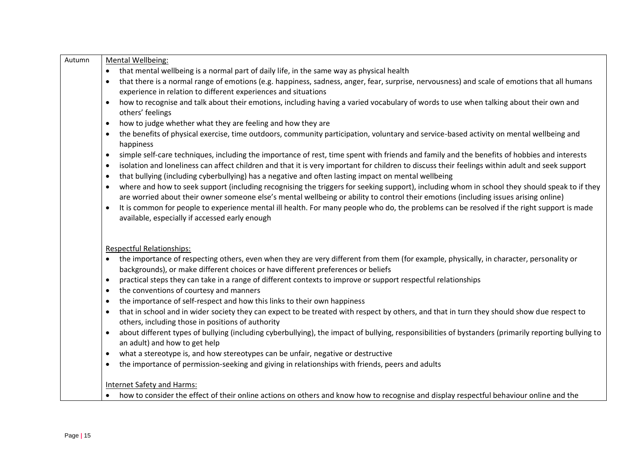| Autumn | Mental Wellbeing:                                                                                                                                                                                                                                                                                  |
|--------|----------------------------------------------------------------------------------------------------------------------------------------------------------------------------------------------------------------------------------------------------------------------------------------------------|
|        | that mental wellbeing is a normal part of daily life, in the same way as physical health                                                                                                                                                                                                           |
|        | that there is a normal range of emotions (e.g. happiness, sadness, anger, fear, surprise, nervousness) and scale of emotions that all humans<br>$\bullet$<br>experience in relation to different experiences and situations                                                                        |
|        |                                                                                                                                                                                                                                                                                                    |
|        | how to recognise and talk about their emotions, including having a varied vocabulary of words to use when talking about their own and<br>$\bullet$<br>others' feelings                                                                                                                             |
|        | how to judge whether what they are feeling and how they are<br>$\bullet$                                                                                                                                                                                                                           |
|        | the benefits of physical exercise, time outdoors, community participation, voluntary and service-based activity on mental wellbeing and<br>$\bullet$<br>happiness                                                                                                                                  |
|        | simple self-care techniques, including the importance of rest, time spent with friends and family and the benefits of hobbies and interests<br>$\bullet$                                                                                                                                           |
|        | isolation and loneliness can affect children and that it is very important for children to discuss their feelings within adult and seek support<br>٠<br>that bullying (including cyberbullying) has a negative and often lasting impact on mental wellbeing<br>$\bullet$                           |
|        |                                                                                                                                                                                                                                                                                                    |
|        | where and how to seek support (including recognising the triggers for seeking support), including whom in school they should speak to if they<br>$\bullet$<br>are worried about their owner someone else's mental wellbeing or ability to control their emotions (including issues arising online) |
|        | It is common for people to experience mental ill health. For many people who do, the problems can be resolved if the right support is made<br>$\bullet$<br>available, especially if accessed early enough                                                                                          |
|        | <b>Respectful Relationships:</b>                                                                                                                                                                                                                                                                   |
|        | the importance of respecting others, even when they are very different from them (for example, physically, in character, personality or<br>backgrounds), or make different choices or have different preferences or beliefs                                                                        |
|        | practical steps they can take in a range of different contexts to improve or support respectful relationships<br>٠                                                                                                                                                                                 |
|        | the conventions of courtesy and manners<br>$\bullet$                                                                                                                                                                                                                                               |
|        | the importance of self-respect and how this links to their own happiness<br>$\bullet$                                                                                                                                                                                                              |
|        | that in school and in wider society they can expect to be treated with respect by others, and that in turn they should show due respect to<br>$\bullet$<br>others, including those in positions of authority                                                                                       |
|        | about different types of bullying (including cyberbullying), the impact of bullying, responsibilities of bystanders (primarily reporting bullying to<br>$\bullet$<br>an adult) and how to get help                                                                                                 |
|        | what a stereotype is, and how stereotypes can be unfair, negative or destructive<br>٠                                                                                                                                                                                                              |
|        | the importance of permission-seeking and giving in relationships with friends, peers and adults<br>$\bullet$                                                                                                                                                                                       |
|        |                                                                                                                                                                                                                                                                                                    |
|        | <b>Internet Safety and Harms:</b>                                                                                                                                                                                                                                                                  |
|        | how to consider the effect of their online actions on others and know how to recognise and display respectful behaviour online and the                                                                                                                                                             |
|        |                                                                                                                                                                                                                                                                                                    |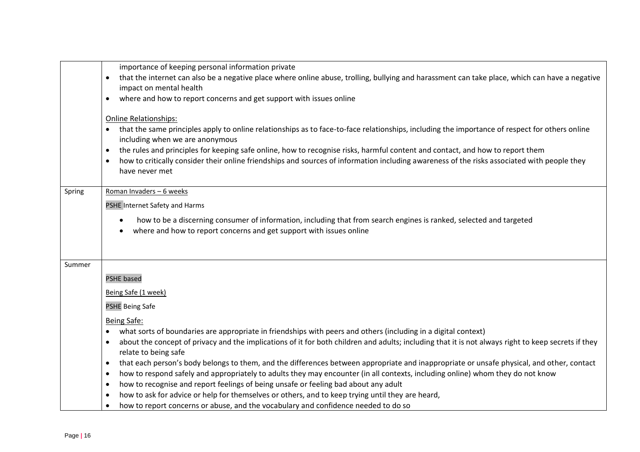|        | importance of keeping personal information private                                                                                                                                                                                                                                                    |
|--------|-------------------------------------------------------------------------------------------------------------------------------------------------------------------------------------------------------------------------------------------------------------------------------------------------------|
|        | that the internet can also be a negative place where online abuse, trolling, bullying and harassment can take place, which can have a negative<br>$\bullet$<br>impact on mental health                                                                                                                |
|        | where and how to report concerns and get support with issues online<br>$\bullet$                                                                                                                                                                                                                      |
|        |                                                                                                                                                                                                                                                                                                       |
|        | <b>Online Relationships:</b>                                                                                                                                                                                                                                                                          |
|        | that the same principles apply to online relationships as to face-to-face relationships, including the importance of respect for others online                                                                                                                                                        |
|        | including when we are anonymous<br>the rules and principles for keeping safe online, how to recognise risks, harmful content and contact, and how to report them<br>$\bullet$                                                                                                                         |
|        | how to critically consider their online friendships and sources of information including awareness of the risks associated with people they<br>$\bullet$                                                                                                                                              |
|        | have never met                                                                                                                                                                                                                                                                                        |
|        |                                                                                                                                                                                                                                                                                                       |
| Spring | Roman Invaders - 6 weeks                                                                                                                                                                                                                                                                              |
|        | PSHE Internet Safety and Harms                                                                                                                                                                                                                                                                        |
|        | how to be a discerning consumer of information, including that from search engines is ranked, selected and targeted                                                                                                                                                                                   |
|        | where and how to report concerns and get support with issues online<br>٠                                                                                                                                                                                                                              |
|        |                                                                                                                                                                                                                                                                                                       |
|        |                                                                                                                                                                                                                                                                                                       |
| Summer |                                                                                                                                                                                                                                                                                                       |
|        | <b>PSHE based</b>                                                                                                                                                                                                                                                                                     |
|        | Being Safe (1 week)                                                                                                                                                                                                                                                                                   |
|        | <b>PSHE Being Safe</b>                                                                                                                                                                                                                                                                                |
|        | Being Safe:                                                                                                                                                                                                                                                                                           |
|        | what sorts of boundaries are appropriate in friendships with peers and others (including in a digital context)                                                                                                                                                                                        |
|        | about the concept of privacy and the implications of it for both children and adults; including that it is not always right to keep secrets if they<br>$\bullet$                                                                                                                                      |
|        | relate to being safe                                                                                                                                                                                                                                                                                  |
|        | that each person's body belongs to them, and the differences between appropriate and inappropriate or unsafe physical, and other, contact<br>$\bullet$<br>how to respond safely and appropriately to adults they may encounter (in all contexts, including online) whom they do not know<br>$\bullet$ |
|        | how to recognise and report feelings of being unsafe or feeling bad about any adult<br>$\bullet$                                                                                                                                                                                                      |
|        | how to ask for advice or help for themselves or others, and to keep trying until they are heard,<br>$\bullet$                                                                                                                                                                                         |
|        | how to report concerns or abuse, and the vocabulary and confidence needed to do so<br>$\bullet$                                                                                                                                                                                                       |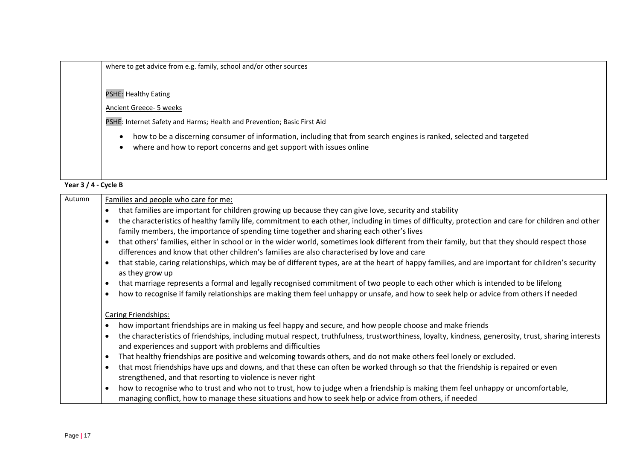| where to get advice from e.g. family, school and/or other sources                                                                                                                          |
|--------------------------------------------------------------------------------------------------------------------------------------------------------------------------------------------|
| <b>PSHE: Healthy Eating</b>                                                                                                                                                                |
| <b>Ancient Greece- 5 weeks</b>                                                                                                                                                             |
| PSHE: Internet Safety and Harms; Health and Prevention; Basic First Aid                                                                                                                    |
| how to be a discerning consumer of information, including that from search engines is ranked, selected and targeted<br>where and how to report concerns and get support with issues online |

**Year 3 / 4 - Cycle B**

| Autumn | Families and people who care for me:                                                                                                                                                                                                                      |
|--------|-----------------------------------------------------------------------------------------------------------------------------------------------------------------------------------------------------------------------------------------------------------|
|        | that families are important for children growing up because they can give love, security and stability                                                                                                                                                    |
|        | the characteristics of healthy family life, commitment to each other, including in times of difficulty, protection and care for children and other<br>family members, the importance of spending time together and sharing each other's lives             |
|        | that others' families, either in school or in the wider world, sometimes look different from their family, but that they should respect those<br>$\bullet$<br>differences and know that other children's families are also characterised by love and care |
|        | that stable, caring relationships, which may be of different types, are at the heart of happy families, and are important for children's security<br>$\bullet$<br>as they grow up                                                                         |
|        | that marriage represents a formal and legally recognised commitment of two people to each other which is intended to be lifelong<br>$\bullet$                                                                                                             |
|        | how to recognise if family relationships are making them feel unhappy or unsafe, and how to seek help or advice from others if needed                                                                                                                     |
|        | <b>Caring Friendships:</b><br>how important friendships are in making us feel happy and secure, and how people choose and make friends                                                                                                                    |
|        |                                                                                                                                                                                                                                                           |
|        | the characteristics of friendships, including mutual respect, truthfulness, trustworthiness, loyalty, kindness, generosity, trust, sharing interests<br>$\bullet$<br>and experiences and support with problems and difficulties                           |
|        | That healthy friendships are positive and welcoming towards others, and do not make others feel lonely or excluded.<br>$\bullet$                                                                                                                          |
|        | that most friendships have ups and downs, and that these can often be worked through so that the friendship is repaired or even<br>$\bullet$<br>strengthened, and that resorting to violence is never right                                               |
|        | how to recognise who to trust and who not to trust, how to judge when a friendship is making them feel unhappy or uncomfortable,<br>$\bullet$<br>managing conflict, how to manage these situations and how to seek help or advice from others, if needed  |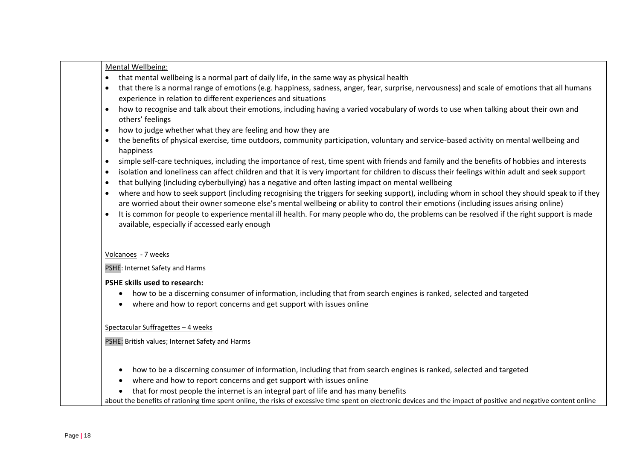|                        | Mental Wellbeing:                                                                                                                                                                                                                                                                     |
|------------------------|---------------------------------------------------------------------------------------------------------------------------------------------------------------------------------------------------------------------------------------------------------------------------------------|
| $\bullet$              | that mental wellbeing is a normal part of daily life, in the same way as physical health                                                                                                                                                                                              |
| $\bullet$              | that there is a normal range of emotions (e.g. happiness, sadness, anger, fear, surprise, nervousness) and scale of emotions that all humans                                                                                                                                          |
|                        | experience in relation to different experiences and situations                                                                                                                                                                                                                        |
| $\bullet$              | how to recognise and talk about their emotions, including having a varied vocabulary of words to use when talking about their own and                                                                                                                                                 |
|                        | others' feelings                                                                                                                                                                                                                                                                      |
| $\bullet$              | how to judge whether what they are feeling and how they are                                                                                                                                                                                                                           |
| $\bullet$              | the benefits of physical exercise, time outdoors, community participation, voluntary and service-based activity on mental wellbeing and<br>happiness                                                                                                                                  |
| $\bullet$              | simple self-care techniques, including the importance of rest, time spent with friends and family and the benefits of hobbies and interests                                                                                                                                           |
| $\bullet$<br>$\bullet$ | isolation and loneliness can affect children and that it is very important for children to discuss their feelings within adult and seek support<br>that bullying (including cyberbullying) has a negative and often lasting impact on mental wellbeing                                |
| $\bullet$              | where and how to seek support (including recognising the triggers for seeking support), including whom in school they should speak to if they<br>are worried about their owner someone else's mental wellbeing or ability to control their emotions (including issues arising online) |
| $\bullet$              | It is common for people to experience mental ill health. For many people who do, the problems can be resolved if the right support is made<br>available, especially if accessed early enough                                                                                          |
|                        | Volcanoes - 7 weeks<br>PSHE: Internet Safety and Harms                                                                                                                                                                                                                                |
|                        | <b>PSHE skills used to research:</b>                                                                                                                                                                                                                                                  |
|                        | how to be a discerning consumer of information, including that from search engines is ranked, selected and targeted<br>where and how to report concerns and get support with issues online<br>$\bullet$                                                                               |
|                        | Spectacular Suffragettes - 4 weeks                                                                                                                                                                                                                                                    |
|                        | PSHE: British values; Internet Safety and Harms                                                                                                                                                                                                                                       |
|                        |                                                                                                                                                                                                                                                                                       |
|                        | how to be a discerning consumer of information, including that from search engines is ranked, selected and targeted<br>$\bullet$                                                                                                                                                      |
|                        | where and how to report concerns and get support with issues online                                                                                                                                                                                                                   |
|                        | that for most people the internet is an integral part of life and has many benefits                                                                                                                                                                                                   |
|                        |                                                                                                                                                                                                                                                                                       |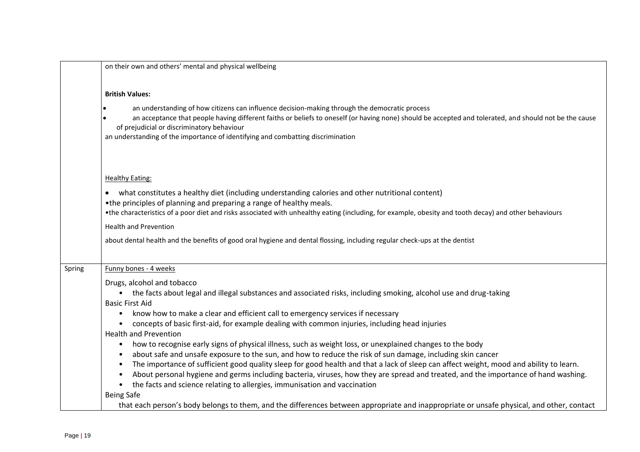|        | on their own and others' mental and physical wellbeing                                                                                                                                                                                                                                                                           |
|--------|----------------------------------------------------------------------------------------------------------------------------------------------------------------------------------------------------------------------------------------------------------------------------------------------------------------------------------|
|        | <b>British Values:</b><br>an understanding of how citizens can influence decision-making through the democratic process                                                                                                                                                                                                          |
|        | an acceptance that people having different faiths or beliefs to oneself (or having none) should be accepted and tolerated, and should not be the cause<br>of prejudicial or discriminatory behaviour<br>an understanding of the importance of identifying and combatting discrimination                                          |
|        | <b>Healthy Eating:</b>                                                                                                                                                                                                                                                                                                           |
|        | what constitutes a healthy diet (including understanding calories and other nutritional content)<br>•the principles of planning and preparing a range of healthy meals.<br>•the characteristics of a poor diet and risks associated with unhealthy eating (including, for example, obesity and tooth decay) and other behaviours |
|        | <b>Health and Prevention</b>                                                                                                                                                                                                                                                                                                     |
|        | about dental health and the benefits of good oral hygiene and dental flossing, including regular check-ups at the dentist                                                                                                                                                                                                        |
| Spring | Funny bones - 4 weeks                                                                                                                                                                                                                                                                                                            |
|        | Drugs, alcohol and tobacco                                                                                                                                                                                                                                                                                                       |
|        | • the facts about legal and illegal substances and associated risks, including smoking, alcohol use and drug-taking<br><b>Basic First Aid</b>                                                                                                                                                                                    |
|        | know how to make a clear and efficient call to emergency services if necessary<br>$\bullet$                                                                                                                                                                                                                                      |
|        | concepts of basic first-aid, for example dealing with common injuries, including head injuries<br><b>Health and Prevention</b>                                                                                                                                                                                                   |
|        | how to recognise early signs of physical illness, such as weight loss, or unexplained changes to the body<br>$\bullet$                                                                                                                                                                                                           |
|        | about safe and unsafe exposure to the sun, and how to reduce the risk of sun damage, including skin cancer                                                                                                                                                                                                                       |
|        | The importance of sufficient good quality sleep for good health and that a lack of sleep can affect weight, mood and ability to learn.                                                                                                                                                                                           |
|        | About personal hygiene and germs including bacteria, viruses, how they are spread and treated, and the importance of hand washing.                                                                                                                                                                                               |
|        | the facts and science relating to allergies, immunisation and vaccination<br><b>Being Safe</b>                                                                                                                                                                                                                                   |
|        | that each person's body belongs to them, and the differences between appropriate and inappropriate or unsafe physical, and other, contact                                                                                                                                                                                        |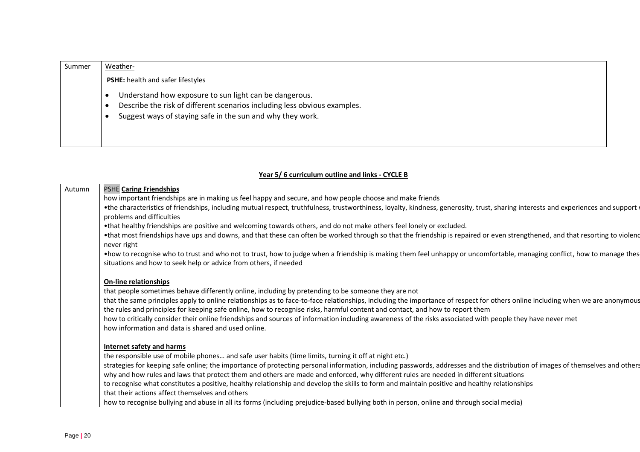| Summer | Weather-                                                                                                                                                                                          |  |
|--------|---------------------------------------------------------------------------------------------------------------------------------------------------------------------------------------------------|--|
|        | PSHE: health and safer lifestyles                                                                                                                                                                 |  |
|        | Understand how exposure to sun light can be dangerous.<br>Describe the risk of different scenarios including less obvious examples.<br>Suggest ways of staying safe in the sun and why they work. |  |

#### **Year 5/ 6 curriculum outline and links - CYCLE B**

| Autumn | PSHE Caring Friendships                                                                                                                                                                     |
|--------|---------------------------------------------------------------------------------------------------------------------------------------------------------------------------------------------|
|        | how important friendships are in making us feel happy and secure, and how people choose and make friends                                                                                    |
|        | • the characteristics of friendships, including mutual respect, truthfulness, trustworthiness, loyalty, kindness, generosity, trust, sharing interests and experiences and support \        |
|        | problems and difficulties                                                                                                                                                                   |
|        | •that healthy friendships are positive and welcoming towards others, and do not make others feel lonely or excluded.                                                                        |
|        | •that most friendships have ups and downs, and that these can often be worked through so that the friendship is repaired or even strengthened, and that resorting to violenc<br>never right |
|        | • how to recognise who to trust and who not to trust, how to judge when a friendship is making them feel unhappy or uncomfortable, managing conflict, how to manage thes                    |
|        | situations and how to seek help or advice from others, if needed                                                                                                                            |
|        | <b>On-line relationships</b>                                                                                                                                                                |
|        | that people sometimes behave differently online, including by pretending to be someone they are not                                                                                         |
|        | that the same principles apply to online relationships as to face-to-face relationships, including the importance of respect for others online including when we are anonymous              |
|        | the rules and principles for keeping safe online, how to recognise risks, harmful content and contact, and how to report them                                                               |
|        | how to critically consider their online friendships and sources of information including awareness of the risks associated with people they have never met                                  |
|        | how information and data is shared and used online.                                                                                                                                         |
|        | Internet safety and harms                                                                                                                                                                   |
|        | the responsible use of mobile phones and safe user habits (time limits, turning it off at night etc.)                                                                                       |
|        | strategies for keeping safe online; the importance of protecting personal information, including passwords, addresses and the distribution of images of themselves and others               |
|        | why and how rules and laws that protect them and others are made and enforced, why different rules are needed in different situations                                                       |
|        | to recognise what constitutes a positive, healthy relationship and develop the skills to form and maintain positive and healthy relationships                                               |
|        | that their actions affect themselves and others                                                                                                                                             |
|        | how to recognise bullying and abuse in all its forms (including prejudice-based bullying both in person, online and through social media)                                                   |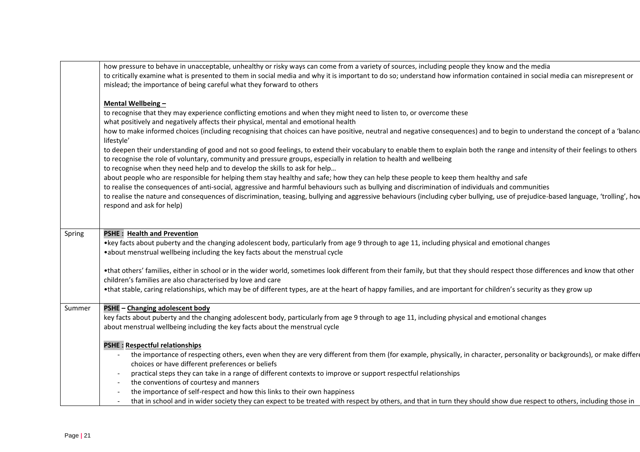|        | how pressure to behave in unacceptable, unhealthy or risky ways can come from a variety of sources, including people they know and the media<br>to critically examine what is presented to them in social media and why it is important to do so; understand how information contained in social media can misrepresent or<br>mislead; the importance of being careful what they forward to others                                                                                                                                                                                                                                                                                                                                                                                                                                                                                                                                                                                                                                                                                                                                                                                                                                                                                                                            |
|--------|-------------------------------------------------------------------------------------------------------------------------------------------------------------------------------------------------------------------------------------------------------------------------------------------------------------------------------------------------------------------------------------------------------------------------------------------------------------------------------------------------------------------------------------------------------------------------------------------------------------------------------------------------------------------------------------------------------------------------------------------------------------------------------------------------------------------------------------------------------------------------------------------------------------------------------------------------------------------------------------------------------------------------------------------------------------------------------------------------------------------------------------------------------------------------------------------------------------------------------------------------------------------------------------------------------------------------------|
|        | Mental Wellbeing-<br>to recognise that they may experience conflicting emotions and when they might need to listen to, or overcome these<br>what positively and negatively affects their physical, mental and emotional health<br>how to make informed choices (including recognising that choices can have positive, neutral and negative consequences) and to begin to understand the concept of a 'balanc<br>lifestyle'<br>to deepen their understanding of good and not so good feelings, to extend their vocabulary to enable them to explain both the range and intensity of their feelings to others<br>to recognise the role of voluntary, community and pressure groups, especially in relation to health and wellbeing<br>to recognise when they need help and to develop the skills to ask for help<br>about people who are responsible for helping them stay healthy and safe; how they can help these people to keep them healthy and safe<br>to realise the consequences of anti-social, aggressive and harmful behaviours such as bullying and discrimination of individuals and communities<br>to realise the nature and consequences of discrimination, teasing, bullying and aggressive behaviours (including cyber bullying, use of prejudice-based language, 'trolling', hov<br>respond and ask for help) |
| Spring | PSHE: Health and Prevention<br>•key facts about puberty and the changing adolescent body, particularly from age 9 through to age 11, including physical and emotional changes<br>.about menstrual wellbeing including the key facts about the menstrual cycle                                                                                                                                                                                                                                                                                                                                                                                                                                                                                                                                                                                                                                                                                                                                                                                                                                                                                                                                                                                                                                                                 |
|        | •that others' families, either in school or in the wider world, sometimes look different from their family, but that they should respect those differences and know that other<br>children's families are also characterised by love and care<br>•that stable, caring relationships, which may be of different types, are at the heart of happy families, and are important for children's security as they grow up                                                                                                                                                                                                                                                                                                                                                                                                                                                                                                                                                                                                                                                                                                                                                                                                                                                                                                           |
| Summer | PSHE - Changing adolescent body<br>key facts about puberty and the changing adolescent body, particularly from age 9 through to age 11, including physical and emotional changes<br>about menstrual wellbeing including the key facts about the menstrual cycle                                                                                                                                                                                                                                                                                                                                                                                                                                                                                                                                                                                                                                                                                                                                                                                                                                                                                                                                                                                                                                                               |
|        | <b>PSHE: Respectful relationships</b><br>the importance of respecting others, even when they are very different from them (for example, physically, in character, personality or backgrounds), or make differe<br>choices or have different preferences or beliefs<br>practical steps they can take in a range of different contexts to improve or support respectful relationships<br>the conventions of courtesy and manners<br>$\overline{\phantom{a}}$<br>the importance of self-respect and how this links to their own happiness<br>that in school and in wider society they can expect to be treated with respect by others, and that in turn they should show due respect to others, including those in                                                                                                                                                                                                                                                                                                                                                                                                                                                                                                                                                                                                               |